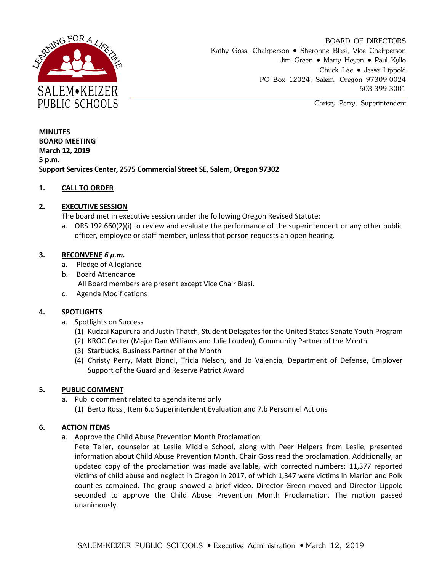

BOARD OF DIRECTORS Kathy Goss, Chairperson • Sheronne Blasi, Vice Chairperson Jim Green • Marty Heyen • Paul Kyllo Chuck Lee • Jesse Lippold PO Box 12024, Salem, Oregon 97309-0024 503-399-3001

Christy Perry, Superintendent

**MINUTES BOARD MEETING March 12, 2019 5 p.m. Support Services Center, 2575 Commercial Street SE, Salem, Oregon 97302**

## **1. CALL TO ORDER**

## **2. EXECUTIVE SESSION**

The board met in executive session under the following Oregon Revised Statute:

a. ORS 192.660(2)(i) to review and evaluate the performance of the superintendent or any other public officer, employee or staff member, unless that person requests an open hearing.

## **3. RECONVENE** *6 p.m.*

- a. Pledge of Allegiance
- b. Board Attendance

All Board members are present except Vice Chair Blasi.

c. Agenda Modifications

# **4. SPOTLIGHTS**

- a. Spotlights on Success
	- (1) Kudzai Kapurura and Justin Thatch, Student Delegates for the United States Senate Youth Program
	- (2) KROC Center (Major Dan Williams and Julie Louden), Community Partner of the Month
	- (3) Starbucks, Business Partner of the Month
	- (4) Christy Perry, Matt Biondi, Tricia Nelson, and Jo Valencia, Department of Defense, Employer Support of the Guard and Reserve Patriot Award

## **5. PUBLIC COMMENT**

- a. Public comment related to agenda items only
	- (1) Berto Rossi, Item 6.c Superintendent Evaluation and 7.b Personnel Actions

## **6. ACTION ITEMS**

a. Approve the Child Abuse Prevention Month Proclamation

Pete Teller, counselor at Leslie Middle School, along with Peer Helpers from Leslie, presented information about Child Abuse Prevention Month. Chair Goss read the proclamation. Additionally, an updated copy of the proclamation was made available, with corrected numbers: 11,377 reported victims of child abuse and neglect in Oregon in 2017, of which 1,347 were victims in Marion and Polk counties combined. The group showed a brief video. Director Green moved and Director Lippold seconded to approve the Child Abuse Prevention Month Proclamation. The motion passed unanimously.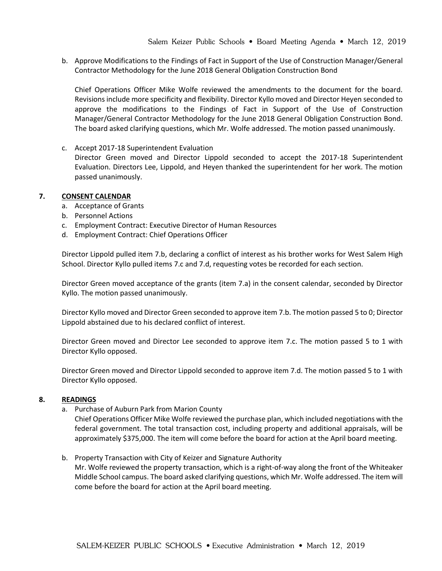b. Approve Modifications to the Findings of Fact in Support of the Use of Construction Manager/General Contractor Methodology for the June 2018 General Obligation Construction Bond

Chief Operations Officer Mike Wolfe reviewed the amendments to the document for the board. Revisions include more specificity and flexibility. Director Kyllo moved and Director Heyen seconded to approve the modifications to the Findings of Fact in Support of the Use of Construction Manager/General Contractor Methodology for the June 2018 General Obligation Construction Bond. The board asked clarifying questions, which Mr. Wolfe addressed. The motion passed unanimously.

c. Accept 2017-18 Superintendent Evaluation Director Green moved and Director Lippold seconded to accept the 2017-18 Superintendent Evaluation. Directors Lee, Lippold, and Heyen thanked the superintendent for her work. The motion passed unanimously.

#### **7. CONSENT CALENDAR**

- a. Acceptance of Grants
- b. Personnel Actions
- c. Employment Contract: Executive Director of Human Resources
- d. Employment Contract: Chief Operations Officer

Director Lippold pulled item 7.b, declaring a conflict of interest as his brother works for West Salem High School. Director Kyllo pulled items 7.c and 7.d, requesting votes be recorded for each section.

Director Green moved acceptance of the grants (item 7.a) in the consent calendar, seconded by Director Kyllo. The motion passed unanimously.

Director Kyllo moved and Director Green seconded to approve item 7.b. The motion passed 5 to 0; Director Lippold abstained due to his declared conflict of interest.

Director Green moved and Director Lee seconded to approve item 7.c. The motion passed 5 to 1 with Director Kyllo opposed.

Director Green moved and Director Lippold seconded to approve item 7.d. The motion passed 5 to 1 with Director Kyllo opposed.

#### **8. READINGS**

a. Purchase of Auburn Park from Marion County

Chief Operations Officer Mike Wolfe reviewed the purchase plan, which included negotiations with the federal government. The total transaction cost, including property and additional appraisals, will be approximately \$375,000. The item will come before the board for action at the April board meeting.

b. Property Transaction with City of Keizer and Signature Authority

Mr. Wolfe reviewed the property transaction, which is a right-of-way along the front of the Whiteaker Middle School campus. The board asked clarifying questions, which Mr. Wolfe addressed. The item will come before the board for action at the April board meeting.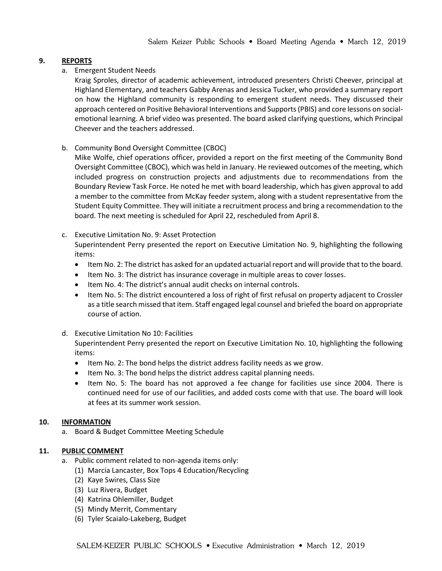## **9. REPORTS**

a. Emergent Student Needs

Kraig Sproles, director of academic achievement, introduced presenters Christi Cheever, principal at Highland Elementary, and teachers Gabby Arenas and Jessica Tucker, who provided a summary report on how the Highland community is responding to emergent student needs. They discussed their approach centered on Positive Behavioral Interventions and Supports (PBIS) and core lessons on socialemotional learning. A brief video was presented. The board asked clarifying questions, which Principal Cheever and the teachers addressed.

b. Community Bond Oversight Committee (CBOC)

Mike Wolfe, chief operations officer, provided a report on the first meeting of the Community Bond Oversight Committee (CBOC), which was held in January. He reviewed outcomes of the meeting, which included progress on construction projects and adjustments due to recommendations from the Boundary Review Task Force. He noted he met with board leadership, which has given approval to add a member to the committee from McKay feeder system, along with a student representative from the Student Equity Committee. They will initiate a recruitment process and bring a recommendation to the board. The next meeting is scheduled for April 22, rescheduled from April 8.

## c. Executive Limitation No. 9: Asset Protection

Superintendent Perry presented the report on Executive Limitation No. 9, highlighting the following items:

- Item No. 2: The district has asked for an updated actuarial report and will provide that to the board.
- Item No. 3: The district has insurance coverage in multiple areas to cover losses.
- Item No. 4: The district's annual audit checks on internal controls.
- Item No. 5: The district encountered a loss of right of first refusal on property adjacent to Crossler as a title search missed that item. Staff engaged legal counsel and briefed the board on appropriate course of action.

## d. Executive Limitation No 10: Facilities

Superintendent Perry presented the report on Executive Limitation No. 10, highlighting the following items:

- Item No. 2: The bond helps the district address facility needs as we grow.
- Item No. 3: The bond helps the district address capital planning needs.
- Item No. 5: The board has not approved a fee change for facilities use since 2004. There is continued need for use of our facilities, and added costs come with that use. The board will look at fees at its summer work session.

## **10. INFORMATION**

a. Board & Budget Committee Meeting Schedule

## **11. PUBLIC COMMENT**

- a. Public comment related to non-agenda items only:
	- (1) Marcia Lancaster, Box Tops 4 Education/Recycling
	- (2) Kaye Swires, Class Size
	- (3) Luz Rivera, Budget
	- (4) Katrina Ohlemiller, Budget
	- (5) Mindy Merrit, Commentary
	- (6) Tyler Scaialo-Lakeberg, Budget